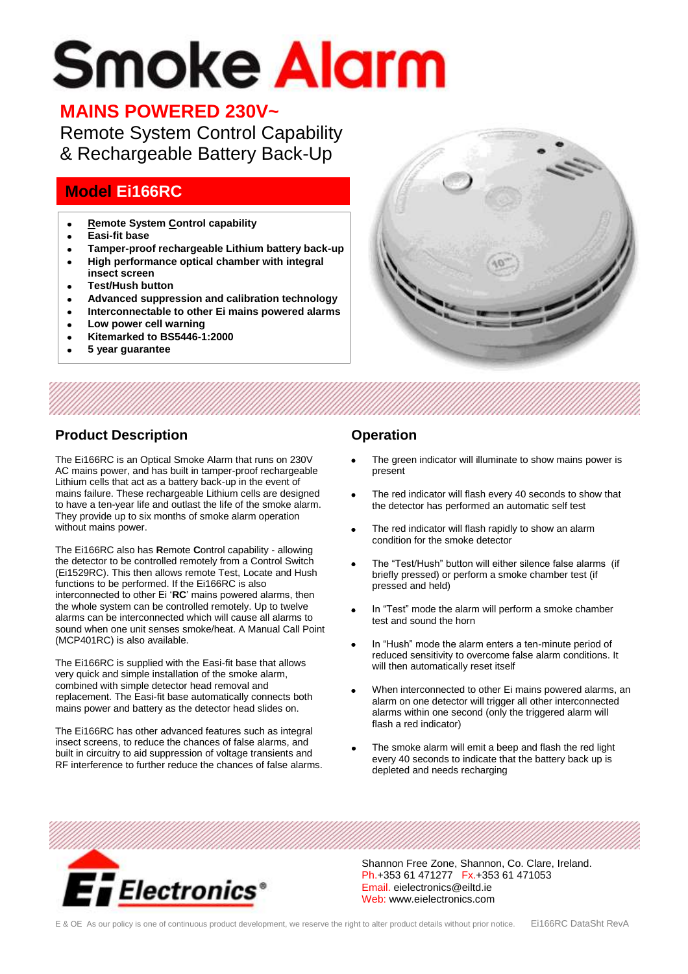# **Smoke Alarm**

## **MAINS POWERED 230V~**

Remote System Control Capability & Rechargeable Battery Back-Up

## **Model Ei166RC**

- **Remote System Control capability**
- **Easi-fit base**
- **Tamper-proof rechargeable Lithium battery back-up**
- **High performance optical chamber with integral**   $\bullet$ **insect screen**
- **Test/Hush button**  $\bullet$
- **Advanced suppression and calibration technology**
- **Interconnectable to other Ei mains powered alarms**
- **Low power cell warning**
- **Kitemarked to BS5446-1:2000**
- **5 year guarantee**



### **Product Description**

The Ei166RC is an Optical Smoke Alarm that runs on 230V AC mains power, and has built in tamper-proof rechargeable Lithium cells that act as a battery back-up in the event of mains failure. These rechargeable Lithium cells are designed to have a ten-year life and outlast the life of the smoke alarm. They provide up to six months of smoke alarm operation without mains power.

The Ei166RC also has **R**emote **C**ontrol capability - allowing the detector to be controlled remotely from a Control Switch (Ei1529RC). This then allows remote Test, Locate and Hush functions to be performed. If the Ei166RC is also interconnected to other Ei "**RC**" mains powered alarms, then the whole system can be controlled remotely. Up to twelve alarms can be interconnected which will cause all alarms to sound when one unit senses smoke/heat. A Manual Call Point (MCP401RC) is also available.

The Ei166RC is supplied with the Easi-fit base that allows very quick and simple installation of the smoke alarm, combined with simple detector head removal and replacement. The Easi-fit base automatically connects both mains power and battery as the detector head slides on.

The Ei166RC has other advanced features such as integral insect screens, to reduce the chances of false alarms, and built in circuitry to aid suppression of voltage transients and RF interference to further reduce the chances of false alarms.

#### **Operation**

- The green indicator will illuminate to show mains power is present
- The red indicator will flash every 40 seconds to show that the detector has performed an automatic self test
- The red indicator will flash rapidly to show an alarm condition for the smoke detector
- The "Test/Hush" button will either silence false alarms (if briefly pressed) or perform a smoke chamber test (if pressed and held)
- In "Test" mode the alarm will perform a smoke chamber test and sound the horn
- In "Hush" mode the alarm enters a ten-minute period of reduced sensitivity to overcome false alarm conditions. It will then automatically reset itself
- When interconnected to other Ei mains powered alarms, an alarm on one detector will trigger all other interconnected alarms within one second (only the triggered alarm will flash a red indicator)
- The smoke alarm will emit a beep and flash the red light every 40 seconds to indicate that the battery back up is depleted and needs recharging



Shannon Free Zone, Shannon, Co. Clare, Ireland. Ph.+353 61 471277 Fx.+353 61 471053 Email. eielectronics@eiltd.ie Web: www.eielectronics.com